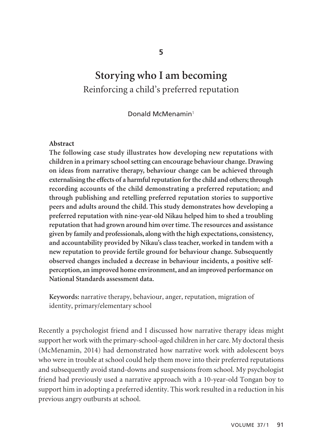# **Storying who I am becoming**  Reinforcing a child's preferred reputation

Donald McMenamin<sup>1</sup>

## **Abstract**

**The following case study illustrates how developing new reputations with children in a primary school setting can encourage behaviour change. Drawing on ideas from narrative therapy, behaviour change can be achieved through externalising the effects of a harmful reputation for the child and others; through recording accounts of the child demonstrating a preferred reputation; and through publishing and retelling preferred reputation stories to supportive peers and adults around the child. This study demonstrates how developing a preferred reputation with nine-year-old Nikau helped him to shed a troubling reputation that had grown around him over time. The resources and assistance given by family and professionals, along with the high expectations, consistency, and accountability provided by Nikau's class teacher, worked in tandem with a new reputation to provide fertile ground for behaviour change. Subsequently observed changes included a decrease in behaviour incidents, a positive selfperception, an improved home environment, and an improved performance on National Standards assessment data.** 

**Keywords:** narrative therapy, behaviour, anger, reputation, migration of identity, primary/elementary school

Recently a psychologist friend and I discussed how narrative therapy ideas might support her work with the primary-school-aged children in her care. My doctoral thesis (McMenamin, 2014) had demonstrated how narrative work with adolescent boys who were in trouble at school could help them move into their preferred reputations and subsequently avoid stand-downs and suspensions from school. My psychologist friend had previously used a narrative approach with a 10-year-old Tongan boy to support him in adopting a preferred identity. This work resulted in a reduction in his previous angry outbursts at school.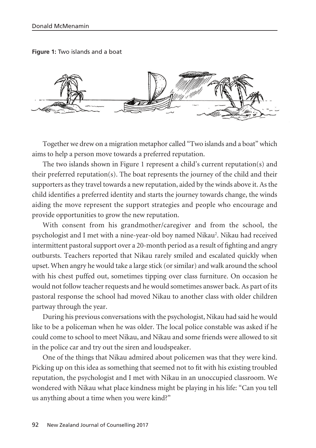**Figure 1:** Two islands and a boat



Together we drew on a migration metaphor called "Two islands and a boat" which aims to help a person move towards a preferred reputation.

The two islands shown in Figure 1 represent a child's current reputation(s) and their preferred reputation(s). The boat represents the journey of the child and their supporters as they travel towards a new reputation, aided by the winds above it. As the child identifies a preferred identity and starts the journey towards change, the winds aiding the move represent the support strategies and people who encourage and provide opportunities to grow the new reputation.

With consent from his grandmother/caregiver and from the school, the psychologist and I met with a nine-year-old boy named Nikau<sup>2</sup>. Nikau had received intermittent pastoral support over a 20-month period as a result of fighting and angry outbursts. Teachers reported that Nikau rarely smiled and escalated quickly when upset. When angry he would take a large stick (or similar) and walk around the school with his chest puffed out, sometimes tipping over class furniture. On occasion he would not follow teacher requests and he would sometimes answer back. As part of its pastoral response the school had moved Nikau to another class with older children partway through the year.

During his previous conversations with the psychologist, Nikau had said he would like to be a policeman when he was older. The local police constable was asked if he could come to school to meet Nikau, and Nikau and some friends were allowed to sit in the police car and try out the siren and loudspeaker.

One of the things that Nikau admired about policemen was that they were kind. Picking up on this idea as something that seemed not to fit with his existing troubled reputation, the psychologist and I met with Nikau in an unoccupied classroom. We wondered with Nikau what place kindness might be playing in his life: "Can you tell us anything about a time when you were kind?"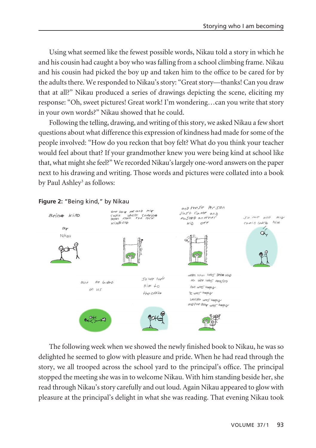Using what seemed like the fewest possible words, Nikau told a story in which he and his cousin had caught a boy who was falling from a school climbing frame. Nikau and his cousin had picked the boy up and taken him to the office to be cared for by the adults there. We responded to Nikau's story: "Great story—thanks! Can you draw that at all?" Nikau produced a series of drawings depicting the scene, eliciting my response: "Oh, sweet pictures! Great work! I'm wondering…can you write that story in your own words?" Nikau showed that he could.

Following the telling, drawing, and writing of this story, we asked Nikau a few short questions about what difference this expression of kindness had made for some of the people involved: "How do you reckon that boy felt? What do you think your teacher would feel about that? If your grandmother knew you were being kind at school like that, what might she feel?" We recorded Nikau's largely one-word answers on the paper next to his drawing and writing. Those words and pictures were collated into a book by Paul Ashley<sup>3</sup> as follows:



# **Figure 2:** "Being kind," by Nikau

The following week when we showed the newly finished book to Nikau, he was so delighted he seemed to glow with pleasure and pride. When he had read through the story, we all trooped across the school yard to the principal's office. The principal stopped the meeting she was in to welcome Nikau. With him standing beside her, she read through Nikau's story carefully and out loud. Again Nikau appeared to glow with pleasure at the principal's delight in what she was reading. That evening Nikau took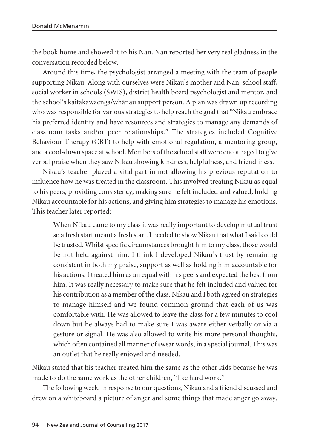the book home and showed it to his Nan. Nan reported her very real gladness in the conversation recorded below.

Around this time, the psychologist arranged a meeting with the team of people supporting Nikau. Along with ourselves were Nikau's mother and Nan, school staff, social worker in schools (SWIS), district health board psychologist and mentor, and the school's kaitakawaenga/whänau support person. A plan was drawn up recording who was responsible for various strategies to help reach the goal that "Nikau embrace his preferred identity and have resources and strategies to manage any demands of classroom tasks and/or peer relationships." The strategies included Cognitive Behaviour Therapy (CBT) to help with emotional regulation, a mentoring group, and a cool-down space at school. Members of the school staff were encouraged to give verbal praise when they saw Nikau showing kindness, helpfulness, and friendliness.

Nikau's teacher played a vital part in not allowing his previous reputation to influence how he was treated in the classroom. This involved treating Nikau as equal to his peers, providing consistency, making sure he felt included and valued, holding Nikau accountable for his actions, and giving him strategies to manage his emotions. This teacher later reported:

When Nikau came to my class it was really important to develop mutual trust so a fresh start meant a fresh start. I needed to show Nikau that what I said could be trusted. Whilst specific circumstances brought him to my class, those would be not held against him. I think I developed Nikau's trust by remaining consistent in both my praise, support as well as holding him accountable for his actions. I treated him as an equal with his peers and expected the best from him. It was really necessary to make sure that he felt included and valued for his contribution as a member of the class. Nikau and I both agreed on strategies to manage himself and we found common ground that each of us was comfortable with. He was allowed to leave the class for a few minutes to cool down but he always had to make sure I was aware either verbally or via a gesture or signal. He was also allowed to write his more personal thoughts, which often contained all manner of swear words, in a special journal. This was an outlet that he really enjoyed and needed.

Nikau stated that his teacher treated him the same as the other kids because he was made to do the same work as the other children, "like hard work."

The following week, in response to our questions, Nikau and a friend discussed and drew on a whiteboard a picture of anger and some things that made anger go away.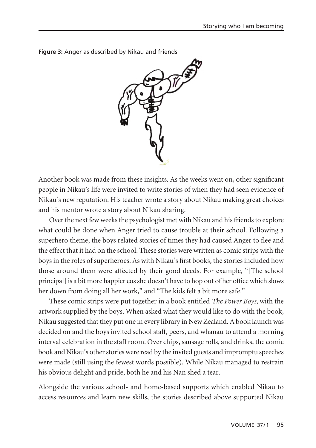

**Figure 3:** Anger as described by Nikau and friends

Another book was made from these insights. As the weeks went on, other significant people in Nikau's life were invited to write stories of when they had seen evidence of Nikau's new reputation. His teacher wrote a story about Nikau making great choices and his mentor wrote a story about Nikau sharing.

Over the next few weeks the psychologist met with Nikau and his friends to explore what could be done when Anger tried to cause trouble at their school. Following a superhero theme, the boys related stories of times they had caused Anger to flee and the effect that it had on the school. These stories were written as comic strips with the boys in the roles of superheroes. As with Nikau's first books, the stories included how those around them were affected by their good deeds. For example, "[The school principal] is a bit more happier cos she doesn't have to hop out of her office which slows her down from doing all her work," and "The kids felt a bit more safe."

These comic strips were put together in a book entitled *The Power Boys*, with the artwork supplied by the boys. When asked what they would like to do with the book, Nikau suggested that they put one in every library in New Zealand. A book launch was decided on and the boys invited school staff, peers, and whänau to attend a morning interval celebration in the staff room. Over chips, sausage rolls, and drinks, the comic book and Nikau's other stories were read by the invited guests and impromptu speeches were made (still using the fewest words possible). While Nikau managed to restrain his obvious delight and pride, both he and his Nan shed a tear.

Alongside the various school- and home-based supports which enabled Nikau to access resources and learn new skills, the stories described above supported Nikau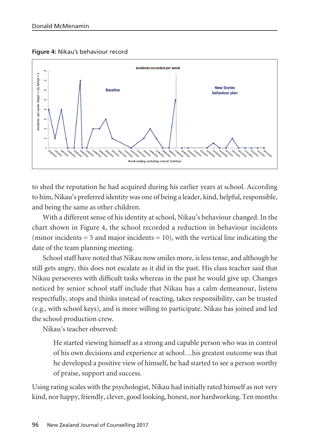**Figure 4:** Nikau's behaviour record



to shed the reputation he had acquired during his earlier years at school. According to him, Nikau's preferred identity was one of being a leader, kind, helpful, responsible, and being the same as other children.

With a different sense of his identity at school, Nikau's behaviour changed. In the chart shown in Figure 4, the school recorded a reduction in behaviour incidents (minor incidents  $= 5$  and major incidents  $= 10$ ), with the vertical line indicating the date of the team planning meeting.

School staff have noted that Nikau now smiles more, is less tense, and although he still gets angry, this does not escalate as it did in the past. His class teacher said that Nikau perseveres with difficult tasks whereas in the past he would give up. Changes noticed by senior school staff include that Nikau has a calm demeanour, listens respectfully, stops and thinks instead of reacting, takes responsibility, can be trusted (e.g., with school keys), and is more willing to participate. Nikau has joined and led the school production crew.

Nikau's teacher observed:

He started viewing himself as a strong and capable person who was in control of his own decisions and experience at school…his greatest outcome was that he developed a positive view of himself, he had started to see a person worthy of praise, support and success.

Using rating scales with the psychologist, Nikau had initially rated himself as not very kind, nor happy, friendly, clever, good looking, honest, nor hardworking. Ten months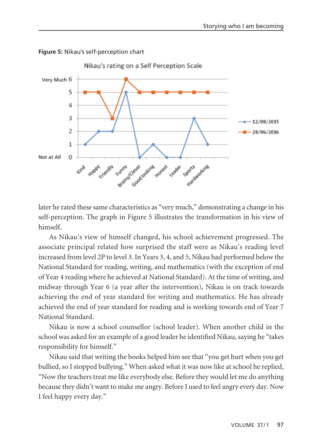

**Figure 5:** Nikau's self-perception chart

later he rated these same characteristics as "very much," demonstrating a change in his self-perception. The graph in Figure 5 illustrates the transformation in his view of himself.

As Nikau's view of himself changed, his school achievement progressed. The associate principal related how surprised the staff were as Nikau's reading level increased from level 2P to level 3. In Years 3, 4, and 5, Nikau had performed below the National Standard for reading, writing, and mathematics (with the exception of end of Year 4 reading where he achieved at National Standard). At the time of writing, and midway through Year 6 (a year after the intervention), Nikau is on track towards achieving the end of year standard for writing and mathematics. He has already achieved the end of year standard for reading and is working towards end of Year 7 National Standard.

Nikau is now a school counsellor (school leader). When another child in the school was asked for an example of a good leader he identified Nikau, saying he "takes responsibility for himself."

Nikau said that writing the books helped him see that "you get hurt when you get bullied, so I stopped bullying." When asked what it was now like at school he replied, "Now the teachers treat me like everybody else. Before they would let me do anything because they didn't want to make me angry. Before I used to feel angry every day. Now I feel happy every day."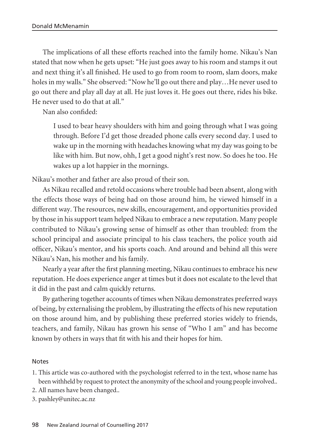The implications of all these efforts reached into the family home. Nikau's Nan stated that now when he gets upset: "He just goes away to his room and stamps it out and next thing it's all finished. He used to go from room to room, slam doors, make holes in my walls." She observed: "Now he'll go out there and play…He never used to go out there and play all day at all. He just loves it. He goes out there, rides his bike. He never used to do that at all."

Nan also confided:

I used to bear heavy shoulders with him and going through what I was going through. Before I'd get those dreaded phone calls every second day. I used to wake up in the morning with headaches knowing what my day was going to be like with him. But now, ohh, I get a good night's rest now. So does he too. He wakes up a lot happier in the mornings.

Nikau's mother and father are also proud of their son.

As Nikau recalled and retold occasions where trouble had been absent, along with the effects those ways of being had on those around him, he viewed himself in a different way. The resources, new skills, encouragement, and opportunities provided by those in his support team helped Nikau to embrace a new reputation. Many people contributed to Nikau's growing sense of himself as other than troubled: from the school principal and associate principal to his class teachers, the police youth aid officer, Nikau's mentor, and his sports coach. And around and behind all this were Nikau's Nan, his mother and his family.

Nearly a year after the first planning meeting, Nikau continues to embrace his new reputation. He does experience anger at times but it does not escalate to the level that it did in the past and calm quickly returns.

By gathering together accounts of times when Nikau demonstrates preferred ways of being, by externalising the problem, by illustrating the effects of his new reputation on those around him, and by publishing these preferred stories widely to friends, teachers, and family, Nikau has grown his sense of "Who I am" and has become known by others in ways that fit with his and their hopes for him.

#### Notes

- 1. This article was co-authored with the psychologist referred to in the text, whose name has been withheld by request to protect the anonymity of the school and young people involved..
- 2. All names have been changed..
- 3. pashley@unitec.ac.nz